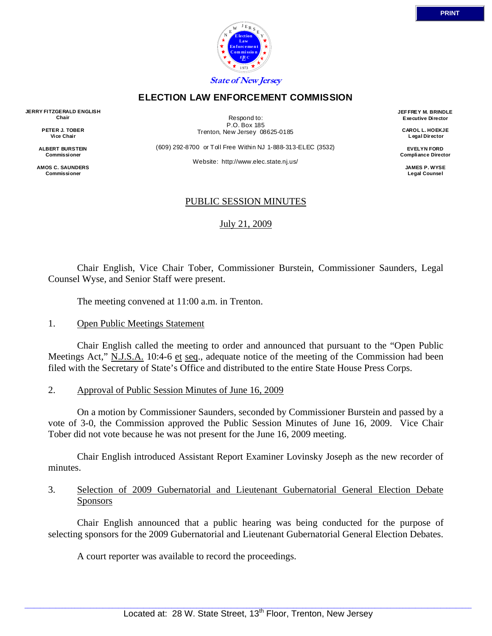

## **ELECTION LAW ENFORCEMENT COMMISSION**

**JERRY FITZGERALD ENGLISH Chair** 

> **PETER J. TOBER Vice Chair**

**ALBERT BURSTEIN Commissioner** 

**AMOS C. SAUNDERS Commissioner** 

Respond to: P.O. Box 185 Trenton, New Jersey 08625-0185

(609) 292-8700 or Toll Free Within NJ 1-888-313-ELEC (3532)

Website: http://www.elec.state.nj.us/

**JEF FREY M. BRINDLE Executive Director** 

> **CAROL L. HOEKJE L egal Director**

**EVELYN FORD Compliance Director** 

> **JAMES P. WYSE Legal Counsel**

# PUBLIC SESSION MINUTES

July 21, 2009

 Chair English, Vice Chair Tober, Commissioner Burstein, Commissioner Saunders, Legal Counsel Wyse, and Senior Staff were present.

The meeting convened at 11:00 a.m. in Trenton.

#### 1. Open Public Meetings Statement

 Chair English called the meeting to order and announced that pursuant to the "Open Public Meetings Act," N.J.S.A. 10:4-6 et seq., adequate notice of the meeting of the Commission had been filed with the Secretary of State's Office and distributed to the entire State House Press Corps.

2. Approval of Public Session Minutes of June 16, 2009

 On a motion by Commissioner Saunders, seconded by Commissioner Burstein and passed by a vote of 3-0, the Commission approved the Public Session Minutes of June 16, 2009. Vice Chair Tober did not vote because he was not present for the June 16, 2009 meeting.

 Chair English introduced Assistant Report Examiner Lovinsky Joseph as the new recorder of minutes.

# 3. Selection of 2009 Gubernatorial and Lieutenant Gubernatorial General Election Debate **Sponsors**

 Chair English announced that a public hearing was being conducted for the purpose of selecting sponsors for the 2009 Gubernatorial and Lieutenant Gubernatorial General Election Debates.

A court reporter was available to record the proceedings.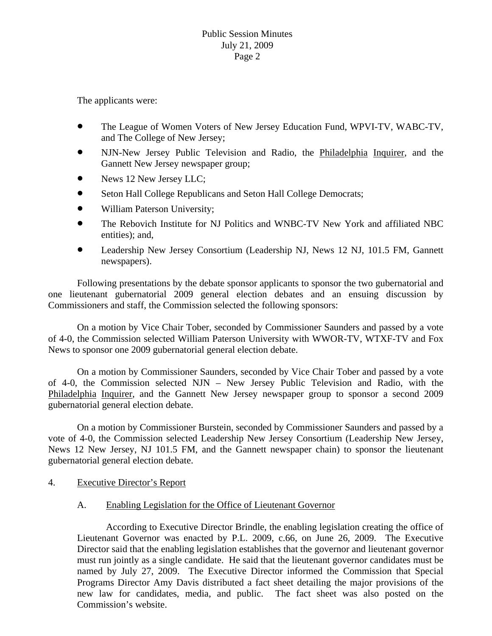The applicants were:

- The League of Women Voters of New Jersey Education Fund, WPVI-TV, WABC-TV, and The College of New Jersey;
- NJN-New Jersey Public Television and Radio, the Philadelphia Inquirer, and the Gannett New Jersey newspaper group;
- News 12 New Jersey LLC;
- Seton Hall College Republicans and Seton Hall College Democrats;
- William Paterson University;
- The Rebovich Institute for NJ Politics and WNBC-TV New York and affiliated NBC entities); and,
- Leadership New Jersey Consortium (Leadership NJ, News 12 NJ, 101.5 FM, Gannett newspapers).

 Following presentations by the debate sponsor applicants to sponsor the two gubernatorial and one lieutenant gubernatorial 2009 general election debates and an ensuing discussion by Commissioners and staff, the Commission selected the following sponsors:

 On a motion by Vice Chair Tober, seconded by Commissioner Saunders and passed by a vote of 4-0, the Commission selected William Paterson University with WWOR-TV, WTXF-TV and Fox News to sponsor one 2009 gubernatorial general election debate.

 On a motion by Commissioner Saunders, seconded by Vice Chair Tober and passed by a vote of 4-0, the Commission selected NJN – New Jersey Public Television and Radio, with the Philadelphia Inquirer, and the Gannett New Jersey newspaper group to sponsor a second 2009 gubernatorial general election debate.

 On a motion by Commissioner Burstein, seconded by Commissioner Saunders and passed by a vote of 4-0, the Commission selected Leadership New Jersey Consortium (Leadership New Jersey, News 12 New Jersey, NJ 101.5 FM, and the Gannett newspaper chain) to sponsor the lieutenant gubernatorial general election debate.

4. Executive Director's Report

#### A. Enabling Legislation for the Office of Lieutenant Governor

 According to Executive Director Brindle, the enabling legislation creating the office of Lieutenant Governor was enacted by P.L. 2009, c.66, on June 26, 2009. The Executive Director said that the enabling legislation establishes that the governor and lieutenant governor must run jointly as a single candidate. He said that the lieutenant governor candidates must be named by July 27, 2009. The Executive Director informed the Commission that Special Programs Director Amy Davis distributed a fact sheet detailing the major provisions of the new law for candidates, media, and public. The fact sheet was also posted on the Commission's website.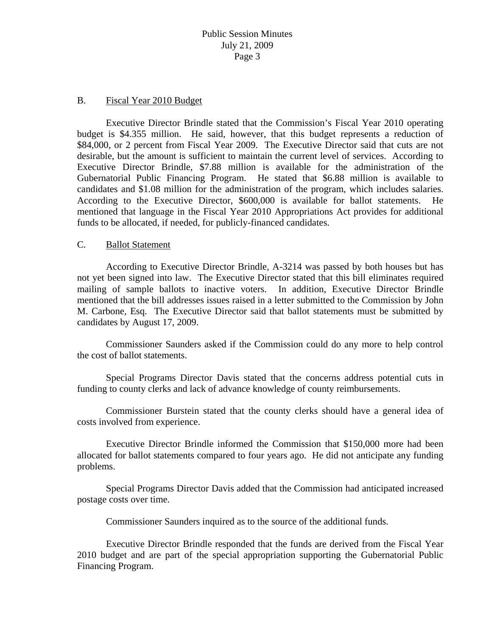### B. Fiscal Year 2010 Budget

 Executive Director Brindle stated that the Commission's Fiscal Year 2010 operating budget is \$4.355 million. He said, however, that this budget represents a reduction of \$84,000, or 2 percent from Fiscal Year 2009. The Executive Director said that cuts are not desirable, but the amount is sufficient to maintain the current level of services. According to Executive Director Brindle, \$7.88 million is available for the administration of the Gubernatorial Public Financing Program. He stated that \$6.88 million is available to candidates and \$1.08 million for the administration of the program, which includes salaries. According to the Executive Director, \$600,000 is available for ballot statements. He mentioned that language in the Fiscal Year 2010 Appropriations Act provides for additional funds to be allocated, if needed, for publicly-financed candidates.

### C. Ballot Statement

 According to Executive Director Brindle, A-3214 was passed by both houses but has not yet been signed into law. The Executive Director stated that this bill eliminates required mailing of sample ballots to inactive voters. In addition, Executive Director Brindle mentioned that the bill addresses issues raised in a letter submitted to the Commission by John M. Carbone, Esq. The Executive Director said that ballot statements must be submitted by candidates by August 17, 2009.

 Commissioner Saunders asked if the Commission could do any more to help control the cost of ballot statements.

 Special Programs Director Davis stated that the concerns address potential cuts in funding to county clerks and lack of advance knowledge of county reimbursements.

 Commissioner Burstein stated that the county clerks should have a general idea of costs involved from experience.

 Executive Director Brindle informed the Commission that \$150,000 more had been allocated for ballot statements compared to four years ago. He did not anticipate any funding problems.

 Special Programs Director Davis added that the Commission had anticipated increased postage costs over time.

Commissioner Saunders inquired as to the source of the additional funds.

 Executive Director Brindle responded that the funds are derived from the Fiscal Year 2010 budget and are part of the special appropriation supporting the Gubernatorial Public Financing Program.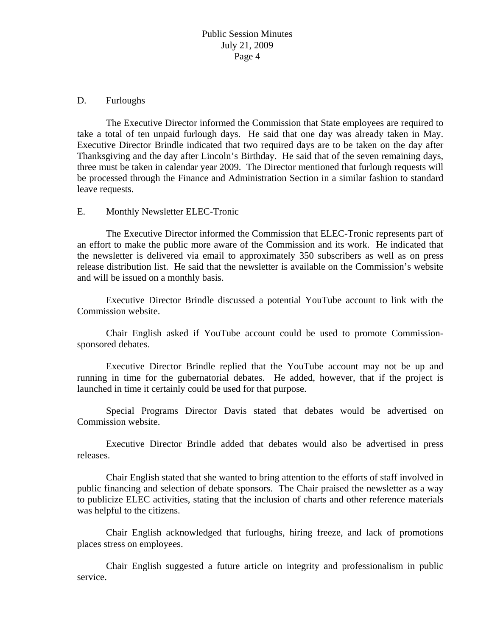### D. Furloughs

 The Executive Director informed the Commission that State employees are required to take a total of ten unpaid furlough days. He said that one day was already taken in May. Executive Director Brindle indicated that two required days are to be taken on the day after Thanksgiving and the day after Lincoln's Birthday. He said that of the seven remaining days, three must be taken in calendar year 2009. The Director mentioned that furlough requests will be processed through the Finance and Administration Section in a similar fashion to standard leave requests.

### E. Monthly Newsletter ELEC-Tronic

 The Executive Director informed the Commission that ELEC-Tronic represents part of an effort to make the public more aware of the Commission and its work. He indicated that the newsletter is delivered via email to approximately 350 subscribers as well as on press release distribution list. He said that the newsletter is available on the Commission's website and will be issued on a monthly basis.

 Executive Director Brindle discussed a potential YouTube account to link with the Commission website.

 Chair English asked if YouTube account could be used to promote Commissionsponsored debates.

 Executive Director Brindle replied that the YouTube account may not be up and running in time for the gubernatorial debates. He added, however, that if the project is launched in time it certainly could be used for that purpose.

 Special Programs Director Davis stated that debates would be advertised on Commission website.

 Executive Director Brindle added that debates would also be advertised in press releases.

 Chair English stated that she wanted to bring attention to the efforts of staff involved in public financing and selection of debate sponsors. The Chair praised the newsletter as a way to publicize ELEC activities, stating that the inclusion of charts and other reference materials was helpful to the citizens.

 Chair English acknowledged that furloughs, hiring freeze, and lack of promotions places stress on employees.

 Chair English suggested a future article on integrity and professionalism in public service.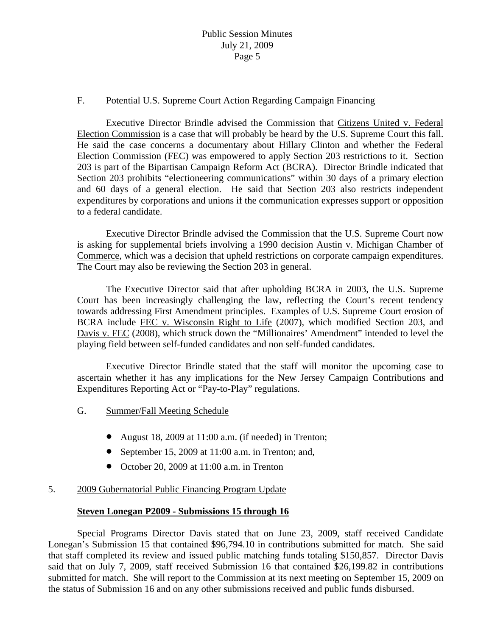### F. Potential U.S. Supreme Court Action Regarding Campaign Financing

 Executive Director Brindle advised the Commission that Citizens United v. Federal Election Commission is a case that will probably be heard by the U.S. Supreme Court this fall. He said the case concerns a documentary about Hillary Clinton and whether the Federal Election Commission (FEC) was empowered to apply Section 203 restrictions to it. Section 203 is part of the Bipartisan Campaign Reform Act (BCRA). Director Brindle indicated that Section 203 prohibits "electioneering communications" within 30 days of a primary election and 60 days of a general election. He said that Section 203 also restricts independent expenditures by corporations and unions if the communication expresses support or opposition to a federal candidate.

 Executive Director Brindle advised the Commission that the U.S. Supreme Court now is asking for supplemental briefs involving a 1990 decision Austin v. Michigan Chamber of Commerce, which was a decision that upheld restrictions on corporate campaign expenditures. The Court may also be reviewing the Section 203 in general.

 The Executive Director said that after upholding BCRA in 2003, the U.S. Supreme Court has been increasingly challenging the law, reflecting the Court's recent tendency towards addressing First Amendment principles. Examples of U.S. Supreme Court erosion of BCRA include FEC v. Wisconsin Right to Life (2007), which modified Section 203, and Davis v. FEC (2008), which struck down the "Millionaires' Amendment" intended to level the playing field between self-funded candidates and non self-funded candidates.

 Executive Director Brindle stated that the staff will monitor the upcoming case to ascertain whether it has any implications for the New Jersey Campaign Contributions and Expenditures Reporting Act or "Pay-to-Play" regulations.

- G. Summer/Fall Meeting Schedule
	- August 18, 2009 at 11:00 a.m. (if needed) in Trenton;
	- September 15, 2009 at 11:00 a.m. in Trenton; and,
	- October 20, 2009 at 11:00 a.m. in Trenton

## 5. 2009 Gubernatorial Public Financing Program Update

#### **Steven Lonegan P2009 - Submissions 15 through 16**

 Special Programs Director Davis stated that on June 23, 2009, staff received Candidate Lonegan's Submission 15 that contained \$96,794.10 in contributions submitted for match. She said that staff completed its review and issued public matching funds totaling \$150,857. Director Davis said that on July 7, 2009, staff received Submission 16 that contained \$26,199.82 in contributions submitted for match. She will report to the Commission at its next meeting on September 15, 2009 on the status of Submission 16 and on any other submissions received and public funds disbursed.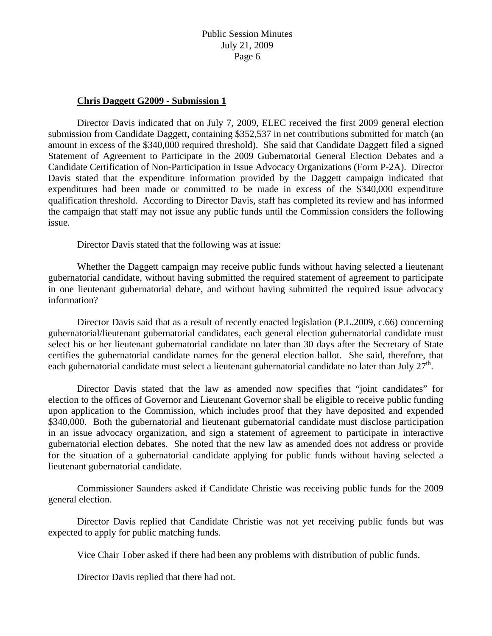#### **Chris Daggett G2009 - Submission 1**

 Director Davis indicated that on July 7, 2009, ELEC received the first 2009 general election submission from Candidate Daggett, containing \$352,537 in net contributions submitted for match (an amount in excess of the \$340,000 required threshold). She said that Candidate Daggett filed a signed Statement of Agreement to Participate in the 2009 Gubernatorial General Election Debates and a Candidate Certification of Non-Participation in Issue Advocacy Organizations (Form P-2A). Director Davis stated that the expenditure information provided by the Daggett campaign indicated that expenditures had been made or committed to be made in excess of the \$340,000 expenditure qualification threshold. According to Director Davis, staff has completed its review and has informed the campaign that staff may not issue any public funds until the Commission considers the following issue.

Director Davis stated that the following was at issue:

 Whether the Daggett campaign may receive public funds without having selected a lieutenant gubernatorial candidate, without having submitted the required statement of agreement to participate in one lieutenant gubernatorial debate, and without having submitted the required issue advocacy information?

Director Davis said that as a result of recently enacted legislation (P.L.2009, c.66) concerning gubernatorial/lieutenant gubernatorial candidates, each general election gubernatorial candidate must select his or her lieutenant gubernatorial candidate no later than 30 days after the Secretary of State certifies the gubernatorial candidate names for the general election ballot. She said, therefore, that each gubernatorial candidate must select a lieutenant gubernatorial candidate no later than July  $27<sup>th</sup>$ .

 Director Davis stated that the law as amended now specifies that "joint candidates" for election to the offices of Governor and Lieutenant Governor shall be eligible to receive public funding upon application to the Commission, which includes proof that they have deposited and expended \$340,000. Both the gubernatorial and lieutenant gubernatorial candidate must disclose participation in an issue advocacy organization, and sign a statement of agreement to participate in interactive gubernatorial election debates. She noted that the new law as amended does not address or provide for the situation of a gubernatorial candidate applying for public funds without having selected a lieutenant gubernatorial candidate.

 Commissioner Saunders asked if Candidate Christie was receiving public funds for the 2009 general election.

 Director Davis replied that Candidate Christie was not yet receiving public funds but was expected to apply for public matching funds.

Vice Chair Tober asked if there had been any problems with distribution of public funds.

Director Davis replied that there had not.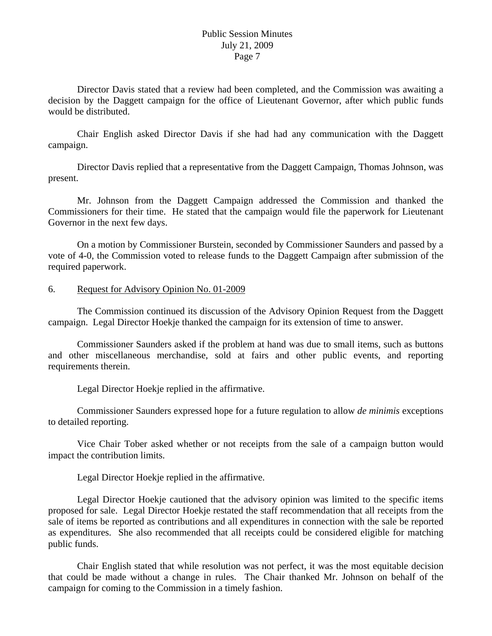Director Davis stated that a review had been completed, and the Commission was awaiting a decision by the Daggett campaign for the office of Lieutenant Governor, after which public funds would be distributed.

 Chair English asked Director Davis if she had had any communication with the Daggett campaign.

 Director Davis replied that a representative from the Daggett Campaign, Thomas Johnson, was present.

 Mr. Johnson from the Daggett Campaign addressed the Commission and thanked the Commissioners for their time. He stated that the campaign would file the paperwork for Lieutenant Governor in the next few days.

 On a motion by Commissioner Burstein, seconded by Commissioner Saunders and passed by a vote of 4-0, the Commission voted to release funds to the Daggett Campaign after submission of the required paperwork.

#### 6. Request for Advisory Opinion No. 01-2009

 The Commission continued its discussion of the Advisory Opinion Request from the Daggett campaign. Legal Director Hoekje thanked the campaign for its extension of time to answer.

 Commissioner Saunders asked if the problem at hand was due to small items, such as buttons and other miscellaneous merchandise, sold at fairs and other public events, and reporting requirements therein.

Legal Director Hoekje replied in the affirmative.

 Commissioner Saunders expressed hope for a future regulation to allow *de minimis* exceptions to detailed reporting.

 Vice Chair Tober asked whether or not receipts from the sale of a campaign button would impact the contribution limits.

Legal Director Hoekje replied in the affirmative.

 Legal Director Hoekje cautioned that the advisory opinion was limited to the specific items proposed for sale. Legal Director Hoekje restated the staff recommendation that all receipts from the sale of items be reported as contributions and all expenditures in connection with the sale be reported as expenditures. She also recommended that all receipts could be considered eligible for matching public funds.

 Chair English stated that while resolution was not perfect, it was the most equitable decision that could be made without a change in rules. The Chair thanked Mr. Johnson on behalf of the campaign for coming to the Commission in a timely fashion.